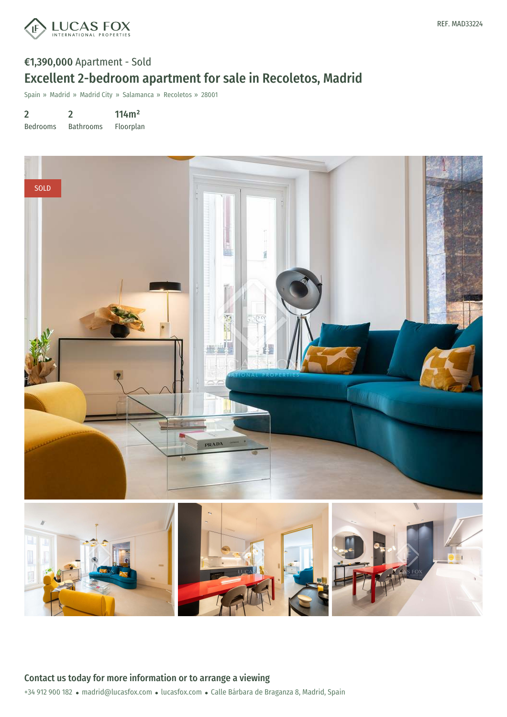

# €1,390,000 Apartment - Sold Excellent 2-bedroom apartment for sale in Recoletos, Madrid

Spain » Madrid » Madrid City » Salamanca » Recoletos » 28001

2 Bedrooms 2 Bathrooms 114m² Floorplan

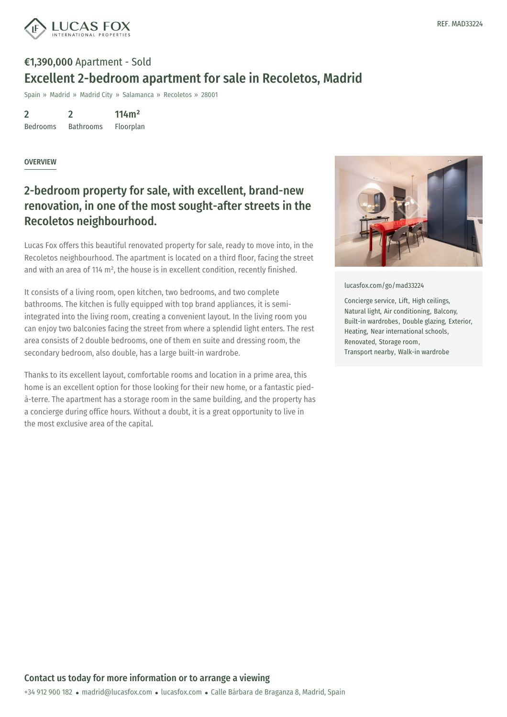

# €1,390,000 Apartment - Sold Excellent 2-bedroom apartment for sale in Recoletos, Madrid

Spain » Madrid » Madrid City » Salamanca » Recoletos » 28001

2 Bedrooms 2 Bathrooms 114m²

Floorplan

#### **OVERVIEW**

### 2-bedroom property for sale, with excellent, brand-new renovation, in one of the most sought-after streets in the Recoletos neighbourhood.

Lucas Fox offers this beautiful renovated property for sale, ready to move into, in the Recoletos neighbourhood. The apartment is located on a third floor, facing the street and with an area of 114 m², the house is in excellent condition, recently finished.

It consists of a living room, open kitchen, two bedrooms, and two complete bathrooms. The kitchen is fully equipped with top brand appliances, it is semiintegrated into the living room, creating a convenient layout. In the living room you can enjoy two balconies facing the street from where a splendid light enters. The rest area consists of 2 double bedrooms, one of them en suite and dressing room, the secondary bedroom, also double, has a large built-in wardrobe.

Thanks to its excellent layout, comfortable rooms and location in a prime area, this home is an excellent option for those looking for their new home, or a fantastic piedà-terre. The apartment has a storage room in the same building, and the property has a concierge during office hours. Without a doubt, it is a great opportunity to live in the most exclusive area of the capital.



[lucasfox.com/go/mad33224](https://www.lucasfox.com/go/mad33224)

Concierge service, Lift, High ceilings, Natural light, Air conditioning, Balcony, Built-in wardrobes, Double glazing, Exterior, Heating, Near international schools, Renovated, Storage room, Transport nearby, Walk-in wardrobe